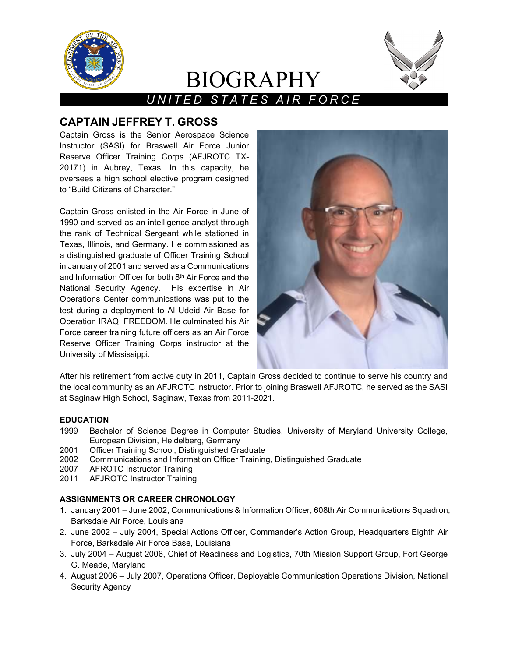

# BIOGRAPHY



## *UNITED STATES AIR FORCE*

### **CAPTAIN JEFFREY T. GROSS**

Captain Gross is the Senior Aerospace Science Instructor (SASI) for Braswell Air Force Junior Reserve Officer Training Corps (AFJROTC TX-20171) in Aubrey, Texas. In this capacity, he oversees a high school elective program designed to "Build Citizens of Character."

Captain Gross enlisted in the Air Force in June of 1990 and served as an intelligence analyst through the rank of Technical Sergeant while stationed in Texas, Illinois, and Germany. He commissioned as a distinguished graduate of Officer Training School in January of 2001 and served as a Communications and Information Officer for both 8th Air Force and the National Security Agency. His expertise in Air Operations Center communications was put to the test during a deployment to Al Udeid Air Base for Operation IRAQI FREEDOM. He culminated his Air Force career training future officers as an Air Force Reserve Officer Training Corps instructor at the University of Mississippi.



After his retirement from active duty in 2011, Captain Gross decided to continue to serve his country and the local community as an AFJROTC instructor. Prior to joining Braswell AFJROTC, he served as the SASI at Saginaw High School, Saginaw, Texas from 2011-2021.

#### **EDUCATION**

- 1999 Bachelor of Science Degree in Computer Studies, University of Maryland University College, European Division, Heidelberg, Germany
- 2001 Officer Training School, Distinguished Graduate
- 2002 Communications and Information Officer Training, Distinguished Graduate
- 2007 AFROTC Instructor Training
- 2011 AFJROTC Instructor Training

#### **ASSIGNMENTS OR CAREER CHRONOLOGY**

- 1. January 2001 June 2002, Communications & Information Officer, 608th Air Communications Squadron, Barksdale Air Force, Louisiana
- 2. June 2002 July 2004, Special Actions Officer, Commander's Action Group, Headquarters Eighth Air Force, Barksdale Air Force Base, Louisiana
- 3. July 2004 August 2006, Chief of Readiness and Logistics, 70th Mission Support Group, Fort George G. Meade, Maryland
- 4. August 2006 July 2007, Operations Officer, Deployable Communication Operations Division, National Security Agency